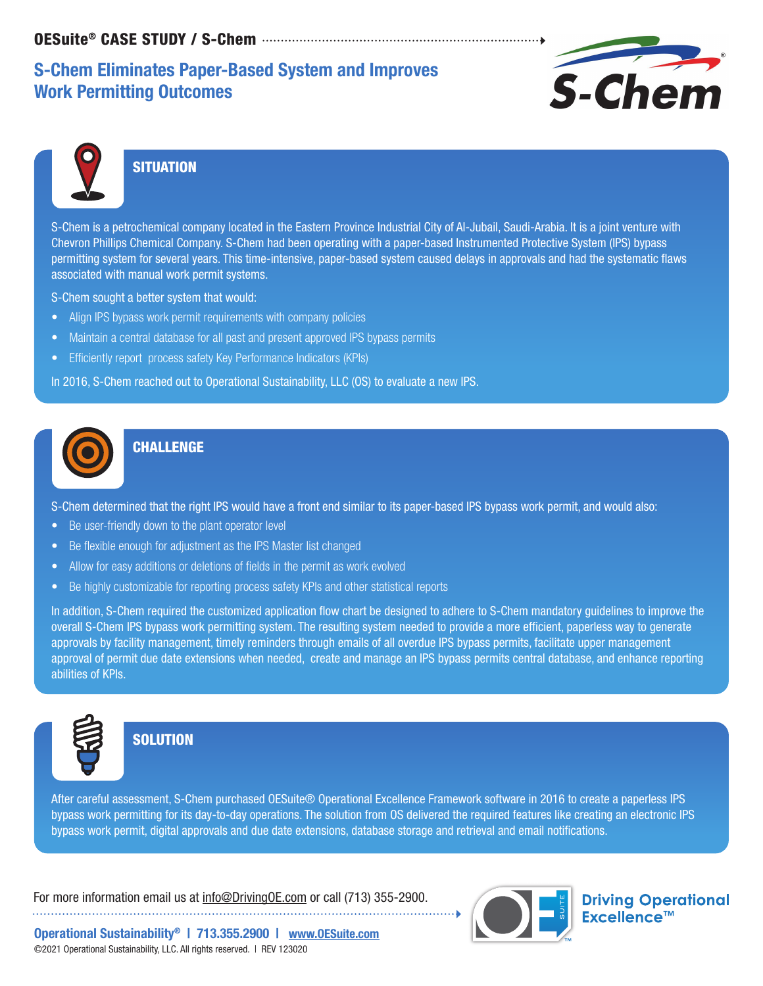# S-Chem Eliminates Paper-Based System and Improves Work Permitting Outcomes





### **SITUATION**

S-Chem is a petrochemical company located in the Eastern Province Industrial City of Al-Jubail, Saudi-Arabia. It is a joint venture with Chevron Phillips Chemical Company. S-Chem had been operating with a paper-based Instrumented Protective System (IPS) bypass permitting system for several years. This time-intensive, paper-based system caused delays in approvals and had the systematic flaws associated with manual work permit systems.

S-Chem sought a better system that would:

- Align IPS bypass work permit requirements with company policies
- Maintain a central database for all past and present approved IPS bypass permits
- Efficiently report process safety Key Performance Indicators (KPIs)

In 2016, S-Chem reached out to Operational Sustainability, LLC (OS) to evaluate a new IPS.



### **CHALLENGE**

S-Chem determined that the right IPS would have a front end similar to its paper-based IPS bypass work permit, and would also:

- Be user-friendly down to the plant operator level
- Be flexible enough for adjustment as the IPS Master list changed
- Allow for easy additions or deletions of fields in the permit as work evolved
- Be highly customizable for reporting process safety KPIs and other statistical reports

In addition, S-Chem required the customized application flow chart be designed to adhere to S-Chem mandatory guidelines to improve the overall S-Chem IPS bypass work permitting system. The resulting system needed to provide a more efficient, paperless way to generate approvals by facility management, timely reminders through emails of all overdue IPS bypass permits, facilitate upper management approval of permit due date extensions when needed, create and manage an IPS bypass permits central database, and enhance reporting abilities of KPIs.



#### **SOLUTION**

After careful assessment, S-Chem purchased OESuite® Operational Excellence Framework software in 2016 to create a paperless IPS bypass work permitting for its day-to-day operations. The solution from OS delivered the required features like creating an electronic IPS bypass work permit, digital approvals and due date extensions, database storage and retrieval and email notifications.

For more information email us at info@DrivingOE.com or call (713) 355-2900. 



**Driving Operational** Excellence™

Operational Sustainability® | 713.355.2900 | www.OESuite.com ©2021 Operational Sustainability, LLC. All rights reserved. | REV 123020